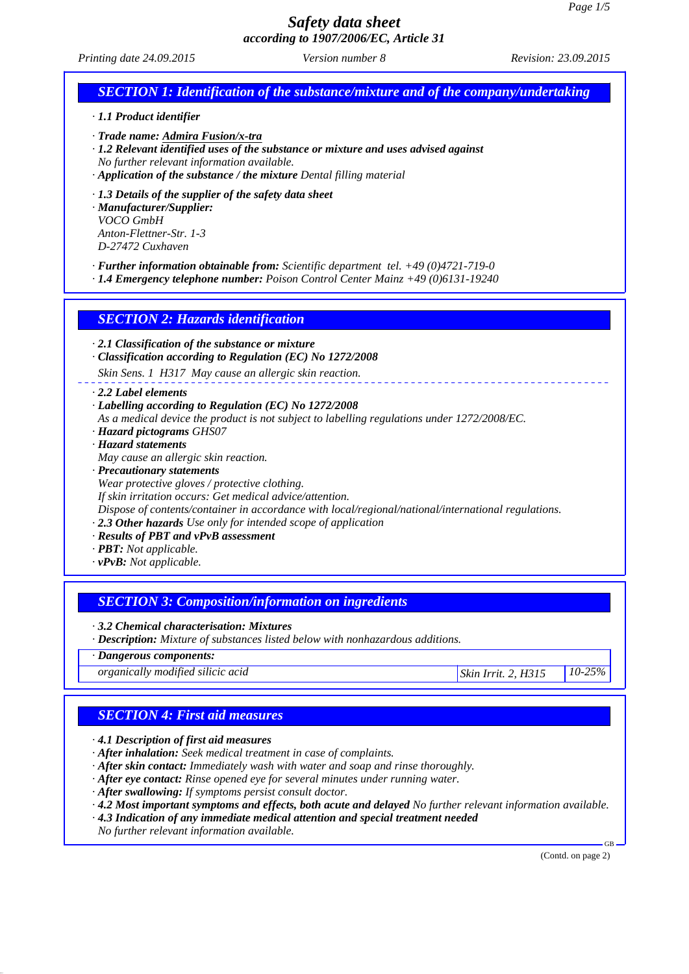*Printing date 24.09.2015 Revision: 23.09.2015 Version number 8*

# *SECTION 1: Identification of the substance/mixture and of the company/undertaking*

*· 1.1 Product identifier*

*· Trade name: Admira Fusion/x-tra*

- *· 1.2 Relevant identified uses of the substance or mixture and uses advised against No further relevant information available.*
- *· Application of the substance / the mixture Dental filling material*
- *· 1.3 Details of the supplier of the safety data sheet*

*· Manufacturer/Supplier: VOCO GmbH Anton-Flettner-Str. 1-3 D-27472 Cuxhaven*

*· Further information obtainable from: Scientific department tel. +49 (0)4721-719-0*

*· 1.4 Emergency telephone number: Poison Control Center Mainz +49 (0)6131-19240*

*SECTION 2: Hazards identification*

*· 2.1 Classification of the substance or mixture*

*· Classification according to Regulation (EC) No 1272/2008*

*Skin Sens. 1 H317 May cause an allergic skin reaction.*

- *· 2.2 Label elements*
- *· Labelling according to Regulation (EC) No 1272/2008*
- *As a medical device the product is not subject to labelling regulations under 1272/2008/EC.*
- *· Hazard pictograms GHS07*
- *· Hazard statements*

*May cause an allergic skin reaction.*

- *· Precautionary statements*
- *Wear protective gloves / protective clothing.*

*If skin irritation occurs: Get medical advice/attention.*

*Dispose of contents/container in accordance with local/regional/national/international regulations.*

*· 2.3 Other hazards Use only for intended scope of application*

- *· Results of PBT and vPvB assessment*
- *· PBT: Not applicable.*
- *· vPvB: Not applicable.*

### *SECTION 3: Composition/information on ingredients*

*· 3.2 Chemical characterisation: Mixtures*

*· Description: Mixture of substances listed below with nonhazardous additions.*

### *· Dangerous components:*

*organically modified silicic acid Skin Irrit. 2, H315 10-25%*

### *SECTION 4: First aid measures*

*· 4.1 Description of first aid measures*

- *· After inhalation: Seek medical treatment in case of complaints.*
- *· After skin contact: Immediately wash with water and soap and rinse thoroughly.*
- *· After eye contact: Rinse opened eye for several minutes under running water.*
- *· After swallowing: If symptoms persist consult doctor.*

*· 4.2 Most important symptoms and effects, both acute and delayed No further relevant information available.*

*· 4.3 Indication of any immediate medical attention and special treatment needed*

*No further relevant information available.*

(Contd. on page 2)

GB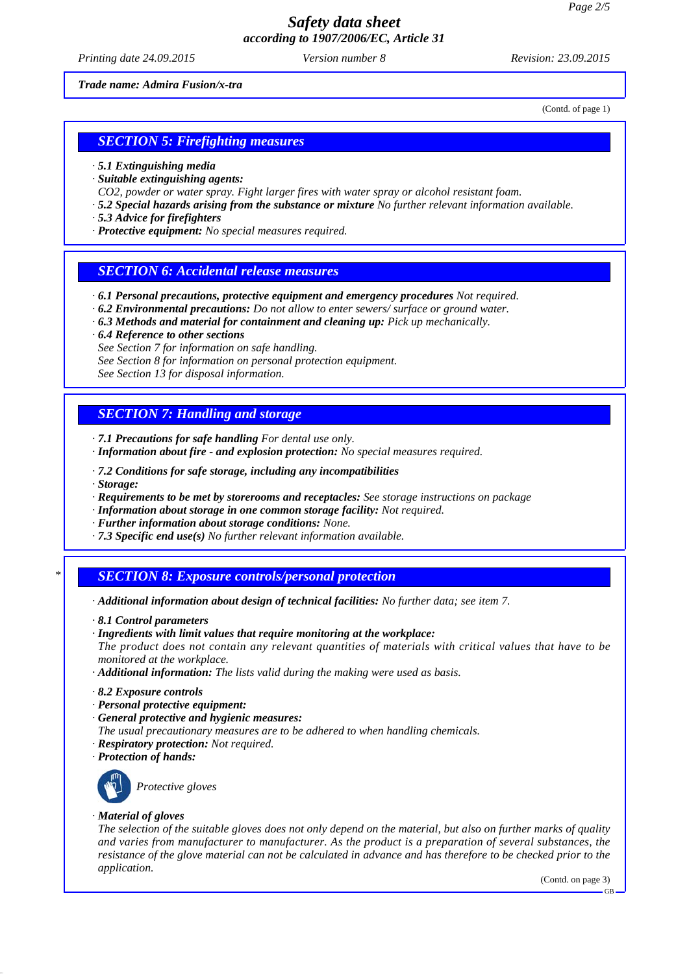*Printing date 24.09.2015 Revision: 23.09.2015 Version number 8*

*Trade name: Admira Fusion/x-tra*

(Contd. of page 1)

## *SECTION 5: Firefighting measures*

- *· 5.1 Extinguishing media*
- *· Suitable extinguishing agents:*
- *CO2, powder or water spray. Fight larger fires with water spray or alcohol resistant foam.*
- *· 5.2 Special hazards arising from the substance or mixture No further relevant information available.*
- *· 5.3 Advice for firefighters*
- *· Protective equipment: No special measures required.*

### *SECTION 6: Accidental release measures*

- *· 6.1 Personal precautions, protective equipment and emergency procedures Not required.*
- *· 6.2 Environmental precautions: Do not allow to enter sewers/ surface or ground water.*
- *· 6.3 Methods and material for containment and cleaning up: Pick up mechanically.*
- *· 6.4 Reference to other sections*
- *See Section 7 for information on safe handling.*
- *See Section 8 for information on personal protection equipment.*
- *See Section 13 for disposal information.*

### *SECTION 7: Handling and storage*

- *· 7.1 Precautions for safe handling For dental use only.*
- *· Information about fire and explosion protection: No special measures required.*
- *· 7.2 Conditions for safe storage, including any incompatibilities*
- *· Storage:*
- *· Requirements to be met by storerooms and receptacles: See storage instructions on package*
- *· Information about storage in one common storage facility: Not required.*
- *· Further information about storage conditions: None.*
- *· 7.3 Specific end use(s) No further relevant information available.*

#### *\* SECTION 8: Exposure controls/personal protection*

- *· Additional information about design of technical facilities: No further data; see item 7.*
- *· 8.1 Control parameters*
- *· Ingredients with limit values that require monitoring at the workplace:*

*The product does not contain any relevant quantities of materials with critical values that have to be monitored at the workplace.*

- *· Additional information: The lists valid during the making were used as basis.*
- *· 8.2 Exposure controls*
- *· Personal protective equipment:*
- *· General protective and hygienic measures:*
- *The usual precautionary measures are to be adhered to when handling chemicals.*
- *· Respiratory protection: Not required.*
- *· Protection of hands:*



*Protective gloves*

#### *· Material of gloves*

*The selection of the suitable gloves does not only depend on the material, but also on further marks of quality and varies from manufacturer to manufacturer. As the product is a preparation of several substances, the resistance of the glove material can not be calculated in advance and has therefore to be checked prior to the application.*

(Contd. on page 3)

GB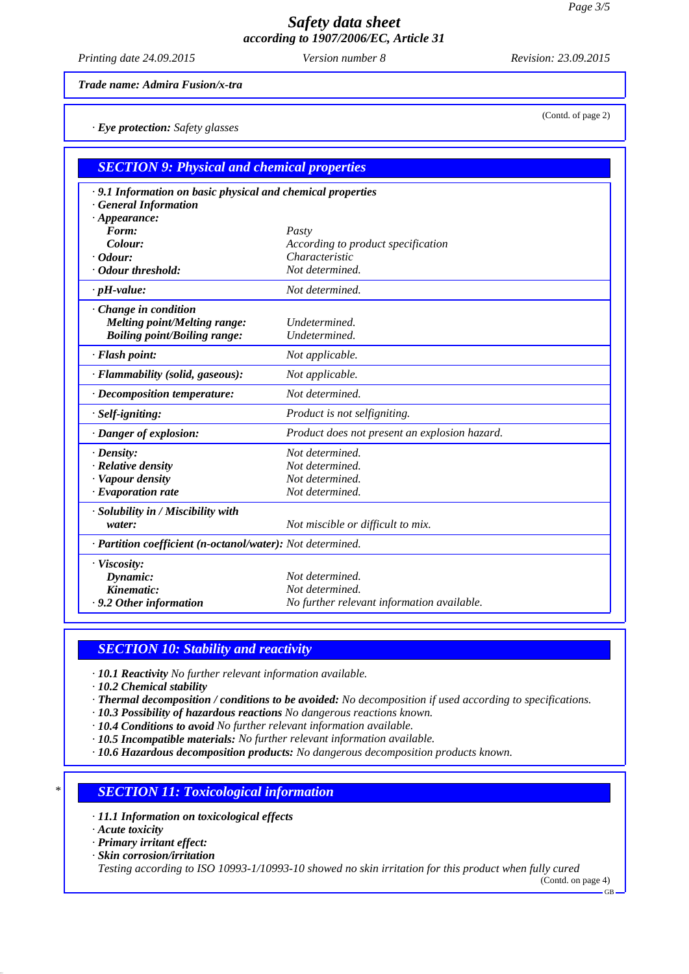*Printing date 24.09.2015 Revision: 23.09.2015 Version number 8*

*Trade name: Admira Fusion/x-tra*

*· Eye protection: Safety glasses*

| <b>SECTION 9: Physical and chemical properties</b>         |                                               |  |
|------------------------------------------------------------|-----------------------------------------------|--|
| .9.1 Information on basic physical and chemical properties |                                               |  |
| <b>General Information</b>                                 |                                               |  |
| $\cdot$ Appearance:                                        |                                               |  |
| Form:                                                      | Pasty                                         |  |
| Colour:                                                    | According to product specification            |  |
| $\cdot$ Odour:                                             | Characteristic                                |  |
| Odour threshold:                                           | Not determined.                               |  |
| $\cdot$ pH-value:                                          | Not determined.                               |  |
| · Change in condition                                      |                                               |  |
| Melting point/Melting range:                               | Undetermined.                                 |  |
| <b>Boiling point/Boiling range:</b>                        | Undetermined.                                 |  |
| · Flash point:                                             | Not applicable.                               |  |
| · Flammability (solid, gaseous):                           | Not applicable.                               |  |
| $\cdot$ Decomposition temperature:                         | Not determined.                               |  |
| · Self-igniting:                                           | Product is not selfigniting.                  |  |
| · Danger of explosion:                                     | Product does not present an explosion hazard. |  |
| $\cdot$ Density:                                           | Not determined.                               |  |
| · Relative density                                         | Not determined.                               |  |
| · Vapour density                                           | Not determined.                               |  |
| $\cdot$ Evaporation rate                                   | Not determined.                               |  |
| · Solubility in / Miscibility with                         |                                               |  |
| water:                                                     | Not miscible or difficult to mix.             |  |
| · Partition coefficient (n-octanol/water): Not determined. |                                               |  |
| · Viscosity:                                               |                                               |  |
| Dynamic:                                                   | Not determined.                               |  |
| Kinematic:                                                 | Not determined.                               |  |
| .9.2 Other information                                     | No further relevant information available.    |  |

### *SECTION 10: Stability and reactivity*

- *· 10.1 Reactivity No further relevant information available.*
- *· 10.2 Chemical stability*
- *· Thermal decomposition / conditions to be avoided: No decomposition if used according to specifications.*
- *· 10.3 Possibility of hazardous reactions No dangerous reactions known.*
- *· 10.4 Conditions to avoid No further relevant information available.*
- *· 10.5 Incompatible materials: No further relevant information available.*
- *· 10.6 Hazardous decomposition products: No dangerous decomposition products known.*

## *\* SECTION 11: Toxicological information*

- *· 11.1 Information on toxicological effects*
- *· Acute toxicity*
- *· Primary irritant effect:*
- *· Skin corrosion/irritation*

*Testing according to ISO 10993-1/10993-10 showed no skin irritation for this product when fully cured*

(Contd. on page 4) GB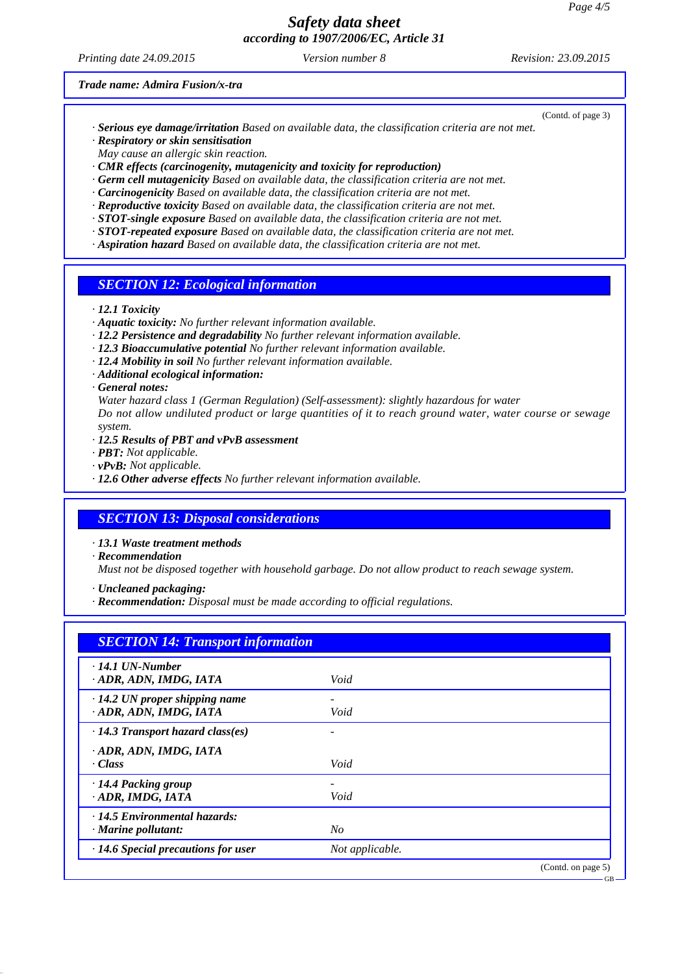*Printing date 24.09.2015 Revision: 23.09.2015 Version number 8*

#### *Trade name: Admira Fusion/x-tra*

- *· Serious eye damage/irritation Based on available data, the classification criteria are not met.*
- *· Respiratory or skin sensitisation*
- *May cause an allergic skin reaction.*
- *· CMR effects (carcinogenity, mutagenicity and toxicity for reproduction)*
- *· Germ cell mutagenicity Based on available data, the classification criteria are not met.*
- *· Carcinogenicity Based on available data, the classification criteria are not met.*
- *· Reproductive toxicity Based on available data, the classification criteria are not met.*
- *· STOT-single exposure Based on available data, the classification criteria are not met.*
- *· STOT-repeated exposure Based on available data, the classification criteria are not met.*
- *· Aspiration hazard Based on available data, the classification criteria are not met.*

### *SECTION 12: Ecological information*

#### *· 12.1 Toxicity*

- *· Aquatic toxicity: No further relevant information available.*
- *· 12.2 Persistence and degradability No further relevant information available.*
- *· 12.3 Bioaccumulative potential No further relevant information available.*
- *· 12.4 Mobility in soil No further relevant information available.*
- *· Additional ecological information:*

#### *· General notes:*

*Water hazard class 1 (German Regulation) (Self-assessment): slightly hazardous for water Do not allow undiluted product or large quantities of it to reach ground water, water course or sewage system.*

- *· 12.5 Results of PBT and vPvB assessment*
- *· PBT: Not applicable.*
- *· vPvB: Not applicable.*
- *· 12.6 Other adverse effects No further relevant information available.*

### *SECTION 13: Disposal considerations*

*· 13.1 Waste treatment methods*

*· Recommendation*

*Must not be disposed together with household garbage. Do not allow product to reach sewage system.*

- *· Uncleaned packaging:*
- *· Recommendation: Disposal must be made according to official regulations.*

| <b>SECTION 14: Transport information</b>  |                 |                    |
|-------------------------------------------|-----------------|--------------------|
| $\cdot$ 14.1 UN-Number                    |                 |                    |
| ADR, ADN, IMDG, IATA                      | Void            |                    |
| $\cdot$ 14.2 UN proper shipping name      |                 |                    |
| · ADR, ADN, IMDG, IATA                    | Void            |                    |
| $\cdot$ 14.3 Transport hazard class(es)   |                 |                    |
| ADR, ADN, IMDG, IATA                      |                 |                    |
| · Class                                   | Void            |                    |
| $\cdot$ 14.4 Packing group                |                 |                    |
| ADR, IMDG, IATA                           | Void            |                    |
| · 14.5 Environmental hazards:             |                 |                    |
| $\cdot$ Marine pollutant:                 | No              |                    |
| $\cdot$ 14.6 Special precautions for user | Not applicable. |                    |
|                                           |                 | (Contd. on page 5) |

(Contd. of page 3)

GB